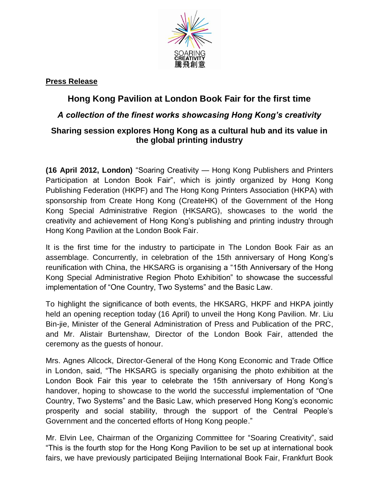

## **Press Release**

# **Hong Kong Pavilion at London Book Fair for the first time**

## *A collection of the finest works showcasing Hong Kong's creativity*

## **Sharing session explores Hong Kong as a cultural hub and its value in the global printing industry**

**(16 April 2012, London)** "Soaring Creativity — Hong Kong Publishers and Printers Participation at London Book Fair", which is jointly organized by Hong Kong Publishing Federation (HKPF) and The Hong Kong Printers Association (HKPA) with sponsorship from Create Hong Kong (CreateHK) of the Government of the Hong Kong Special Administrative Region (HKSARG), showcases to the world the creativity and achievement of Hong Kong's publishing and printing industry through Hong Kong Pavilion at the London Book Fair.

It is the first time for the industry to participate in The London Book Fair as an assemblage. Concurrently, in celebration of the 15th anniversary of Hong Kong's reunification with China, the HKSARG is organising a "15th Anniversary of the Hong Kong Special Administrative Region Photo Exhibition" to showcase the successful implementation of "One Country, Two Systems" and the Basic Law.

To highlight the significance of both events, the HKSARG, HKPF and HKPA jointly held an opening reception today (16 April) to unveil the Hong Kong Pavilion. Mr. Liu Bin-jie, Minister of the General Administration of Press and Publication of the PRC, and Mr. Alistair Burtenshaw, Director of the London Book Fair, attended the ceremony as the guests of honour.

Mrs. Agnes Allcock, Director-General of the Hong Kong Economic and Trade Office in London, said, "The HKSARG is specially organising the photo exhibition at the London Book Fair this year to celebrate the 15th anniversary of Hong Kong's handover, hoping to showcase to the world the successful implementation of "One Country, Two Systems" and the Basic Law, which preserved Hong Kong's economic prosperity and social stability, through the support of the Central People's Government and the concerted efforts of Hong Kong people."

Mr. Elvin Lee, Chairman of the Organizing Committee for "Soaring Creativity", said "This is the fourth stop for the Hong Kong Pavilion to be set up at international book fairs, we have previously participated Beijing International Book Fair, Frankfurt Book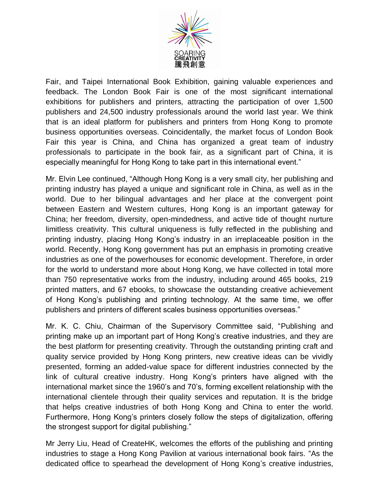

Fair, and Taipei International Book Exhibition, gaining valuable experiences and feedback. The London Book Fair is one of the most significant international exhibitions for publishers and printers, attracting the participation of over 1,500 publishers and 24,500 industry professionals around the world last year. We think that is an ideal platform for publishers and printers from Hong Kong to promote business opportunities overseas. Coincidentally, the market focus of London Book Fair this year is China, and China has organized a great team of industry professionals to participate in the book fair, as a significant part of China, it is especially meaningful for Hong Kong to take part in this international event."

Mr. Elvin Lee continued, "Although Hong Kong is a very small city, her publishing and printing industry has played a unique and significant role in China, as well as in the world. Due to her bilingual advantages and her place at the convergent point between Eastern and Western cultures, Hong Kong is an important gateway for China; her freedom, diversity, open-mindedness, and active tide of thought nurture limitless creativity. This cultural uniqueness is fully reflected in the publishing and printing industry, placing Hong Kong's industry in an irreplaceable position in the world. Recently, Hong Kong government has put an emphasis in promoting creative industries as one of the powerhouses for economic development. Therefore, in order for the world to understand more about Hong Kong, we have collected in total more than 750 representative works from the industry, including around 465 books, 219 printed matters, and 67 ebooks, to showcase the outstanding creative achievement of Hong Kong's publishing and printing technology. At the same time, we offer publishers and printers of different scales business opportunities overseas."

Mr. K. C. Chiu, Chairman of the Supervisory Committee said, "Publishing and printing make up an important part of Hong Kong's creative industries, and they are the best platform for presenting creativity. Through the outstanding printing craft and quality service provided by Hong Kong printers, new creative ideas can be vividly presented, forming an added-value space for different industries connected by the link of cultural creative industry. Hong Kong's printers have aligned with the international market since the 1960's and 70's, forming excellent relationship with the international clientele through their quality services and reputation. It is the bridge that helps creative industries of both Hong Kong and China to enter the world. Furthermore, Hong Kong's printers closely follow the steps of digitalization, offering the strongest support for digital publishing."

Mr Jerry Liu, Head of CreateHK, welcomes the efforts of the publishing and printing industries to stage a Hong Kong Pavilion at various international book fairs. "As the dedicated office to spearhead the development of Hong Kong's creative industries,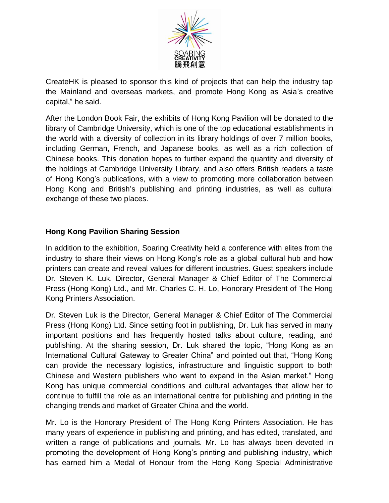

CreateHK is pleased to sponsor this kind of projects that can help the industry tap the Mainland and overseas markets, and promote Hong Kong as Asia's creative capital," he said.

After the London Book Fair, the exhibits of Hong Kong Pavilion will be donated to the library of Cambridge University, which is one of the top educational establishments in the world with a diversity of collection in its library holdings of over 7 million books, including German, French, and Japanese books, as well as a rich collection of Chinese books. This donation hopes to further expand the quantity and diversity of the holdings at Cambridge University Library, and also offers British readers a taste of Hong Kong's publications, with a view to promoting more collaboration between Hong Kong and British's publishing and printing industries, as well as cultural exchange of these two places.

### **Hong Kong Pavilion Sharing Session**

In addition to the exhibition, Soaring Creativity held a conference with elites from the industry to share their views on Hong Kong's role as a global cultural hub and how printers can create and reveal values for different industries. Guest speakers include Dr. Steven K. Luk, Director, General Manager & Chief Editor of The Commercial Press (Hong Kong) Ltd., and Mr. Charles C. H. Lo, Honorary President of The Hong Kong Printers Association.

Dr. Steven Luk is the Director, General Manager & Chief Editor of The Commercial Press (Hong Kong) Ltd. Since setting foot in publishing, Dr. Luk has served in many important positions and has frequently hosted talks about culture, reading, and publishing. At the sharing session, Dr. Luk shared the topic, "Hong Kong as an International Cultural Gateway to Greater China" and pointed out that, "Hong Kong can provide the necessary logistics, infrastructure and linguistic support to both Chinese and Western publishers who want to expand in the Asian market." Hong Kong has unique commercial conditions and cultural advantages that allow her to continue to fulfill the role as an international centre for publishing and printing in the changing trends and market of Greater China and the world.

Mr. Lo is the Honorary President of The Hong Kong Printers Association. He has many years of experience in publishing and printing, and has edited, translated, and written a range of publications and journals. Mr. Lo has always been devoted in promoting the development of Hong Kong's printing and publishing industry, which has earned him a Medal of Honour from the Hong Kong Special Administrative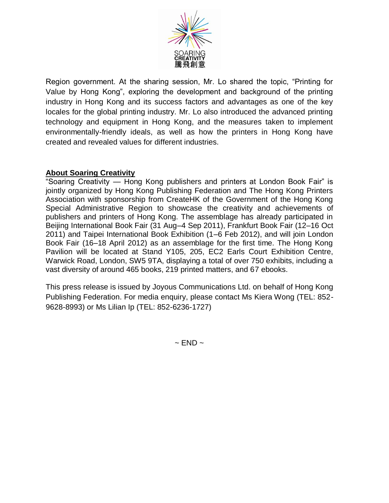

Region government. At the sharing session, Mr. Lo shared the topic, "Printing for Value by Hong Kong", exploring the development and background of the printing industry in Hong Kong and its success factors and advantages as one of the key locales for the global printing industry. Mr. Lo also introduced the advanced printing technology and equipment in Hong Kong, and the measures taken to implement environmentally-friendly ideals, as well as how the printers in Hong Kong have created and revealed values for different industries.

### **About Soaring Creativity**

"Soaring Creativity — Hong Kong publishers and printers at London Book Fair" is jointly organized by Hong Kong Publishing Federation and The Hong Kong Printers Association with sponsorship from CreateHK of the Government of the Hong Kong Special Administrative Region to showcase the creativity and achievements of publishers and printers of Hong Kong. The assemblage has already participated in Beijing International Book Fair (31 Aug–4 Sep 2011), Frankfurt Book Fair (12–16 Oct 2011) and Taipei International Book Exhibition (1–6 Feb 2012), and will join London Book Fair (16–18 April 2012) as an assemblage for the first time. The Hong Kong Pavilion will be located at Stand Y105, 205, EC2 Earls Court Exhibition Centre, Warwick Road, London, SW5 9TA, displaying a total of over 750 exhibits, including a vast diversity of around 465 books, 219 printed matters, and 67 ebooks.

This press release is issued by Joyous Communications Ltd. on behalf of Hong Kong Publishing Federation. For media enquiry, please contact Ms Kiera Wong (TEL: 852- 9628-8993) or Ms Lilian Ip (TEL: 852-6236-1727)

 $\sim$  END  $\sim$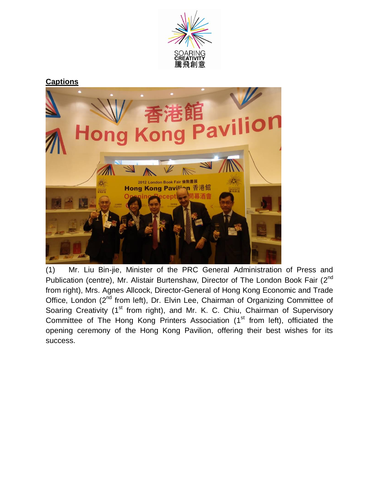

#### **Captions**



(1) Mr. Liu Bin-jie, Minister of the PRC General Administration of Press and Publication (centre), Mr. Alistair Burtenshaw, Director of The London Book Fair (2<sup>nd</sup> from right), Mrs. Agnes Allcock, Director-General of Hong Kong Economic and Trade Office, London (2<sup>nd</sup> from left), Dr. Elvin Lee, Chairman of Organizing Committee of Soaring Creativity (1<sup>st</sup> from right), and Mr. K. C. Chiu, Chairman of Supervisory Committee of The Hong Kong Printers Association (1<sup>st</sup> from left), officiated the opening ceremony of the Hong Kong Pavilion, offering their best wishes for its success.